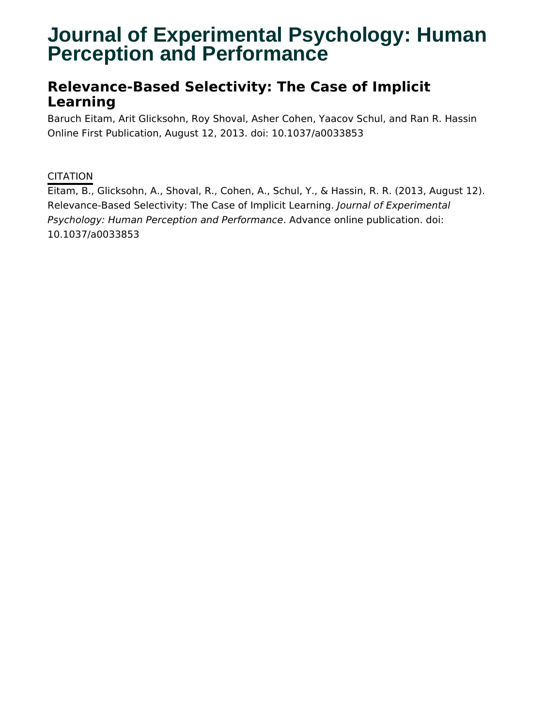# **Journal of Experimental Psychology: Human Perception and Performance**

# **Relevance-Based Selectivity: The Case of Implicit Learning**

Baruch Eitam, Arit Glicksohn, Roy Shoval, Asher Cohen, Yaacov Schul, and Ran R. Hassin Online First Publication, August 12, 2013. doi: 10.1037/a0033853

### CITATION

Eitam, B., Glicksohn, A., Shoval, R., Cohen, A., Schul, Y., & Hassin, R. R. (2013, August 12). Relevance-Based Selectivity: The Case of Implicit Learning. Journal of Experimental Psychology: Human Perception and Performance. Advance online publication. doi: 10.1037/a0033853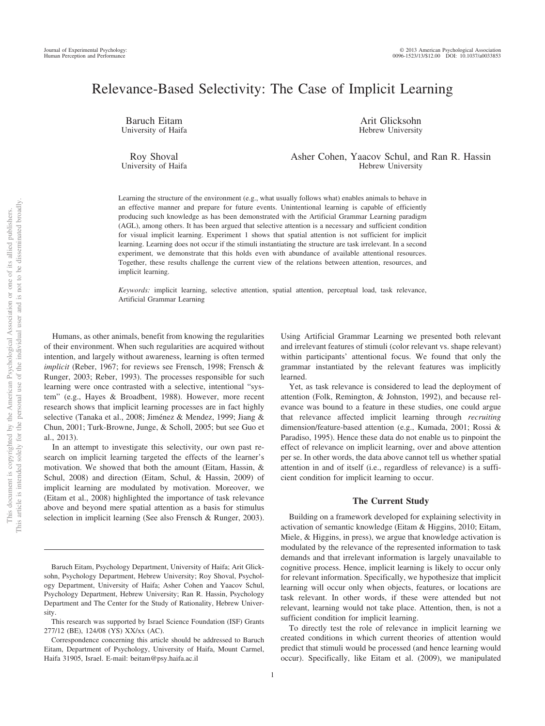## Relevance-Based Selectivity: The Case of Implicit Learning

Baruch Eitam University of Haifa

Roy Shoval University of Haifa

Arit Glicksohn Hebrew University

Asher Cohen, Yaacov Schul, and Ran R. Hassin Hebrew University

Learning the structure of the environment (e.g., what usually follows what) enables animals to behave in an effective manner and prepare for future events. Unintentional learning is capable of efficiently producing such knowledge as has been demonstrated with the Artificial Grammar Learning paradigm (AGL), among others. It has been argued that selective attention is a necessary and sufficient condition for visual implicit learning. Experiment 1 shows that spatial attention is not sufficient for implicit learning. Learning does not occur if the stimuli instantiating the structure are task irrelevant. In a second experiment, we demonstrate that this holds even with abundance of available attentional resources. Together, these results challenge the current view of the relations between attention, resources, and implicit learning.

*Keywords:* implicit learning, selective attention, spatial attention, perceptual load, task relevance, Artificial Grammar Learning

Humans, as other animals, benefit from knowing the regularities of their environment. When such regularities are acquired without intention, and largely without awareness, learning is often termed *implicit* (Reber, 1967; for reviews see Frensch, 1998; Frensch & Runger, 2003; Reber, 1993). The processes responsible for such learning were once contrasted with a selective, intentional "system" (e.g., Hayes & Broadbent, 1988). However, more recent research shows that implicit learning processes are in fact highly selective (Tanaka et al., 2008; Jiménez & Mendez, 1999; Jiang & Chun, 2001; Turk-Browne, Junge, & Scholl, 2005; but see Guo et al., 2013).

In an attempt to investigate this selectivity, our own past research on implicit learning targeted the effects of the learner's motivation. We showed that both the amount (Eitam, Hassin, & Schul, 2008) and direction (Eitam, Schul, & Hassin, 2009) of implicit learning are modulated by motivation. Moreover, we (Eitam et al., 2008) highlighted the importance of task relevance above and beyond mere spatial attention as a basis for stimulus selection in implicit learning (See also Frensch & Runger, 2003).

Using Artificial Grammar Learning we presented both relevant and irrelevant features of stimuli (color relevant vs. shape relevant) within participants' attentional focus. We found that only the grammar instantiated by the relevant features was implicitly learned.

Yet, as task relevance is considered to lead the deployment of attention (Folk, Remington, & Johnston, 1992), and because relevance was bound to a feature in these studies, one could argue that relevance affected implicit learning through *recruiting* dimension/feature-based attention (e.g., Kumada, 2001; Rossi & Paradiso, 1995). Hence these data do not enable us to pinpoint the effect of relevance on implicit learning, over and above attention per se. In other words, the data above cannot tell us whether spatial attention in and of itself (i.e., regardless of relevance) is a sufficient condition for implicit learning to occur.

#### **The Current Study**

Building on a framework developed for explaining selectivity in activation of semantic knowledge (Eitam & Higgins, 2010; Eitam, Miele, & Higgins, in press), we argue that knowledge activation is modulated by the relevance of the represented information to task demands and that irrelevant information is largely unavailable to cognitive process. Hence, implicit learning is likely to occur only for relevant information. Specifically, we hypothesize that implicit learning will occur only when objects, features, or locations are task relevant. In other words, if these were attended but not relevant, learning would not take place. Attention, then, is not a sufficient condition for implicit learning.

To directly test the role of relevance in implicit learning we created conditions in which current theories of attention would predict that stimuli would be processed (and hence learning would occur). Specifically, like Eitam et al. (2009), we manipulated

Baruch Eitam, Psychology Department, University of Haifa; Arit Glicksohn, Psychology Department, Hebrew University; Roy Shoval, Psychology Department, University of Haifa; Asher Cohen and Yaacov Schul, Psychology Department, Hebrew University; Ran R. Hassin, Psychology Department and The Center for the Study of Rationality, Hebrew University.

This research was supported by Israel Science Foundation (ISF) Grants 277/12 (BE), 124/08 (YS) XX/xx (AC).

Correspondence concerning this article should be addressed to Baruch Eitam, Department of Psychology, University of Haifa, Mount Carmel, Haifa 31905, Israel. E-mail: beitam@psy.haifa.ac.il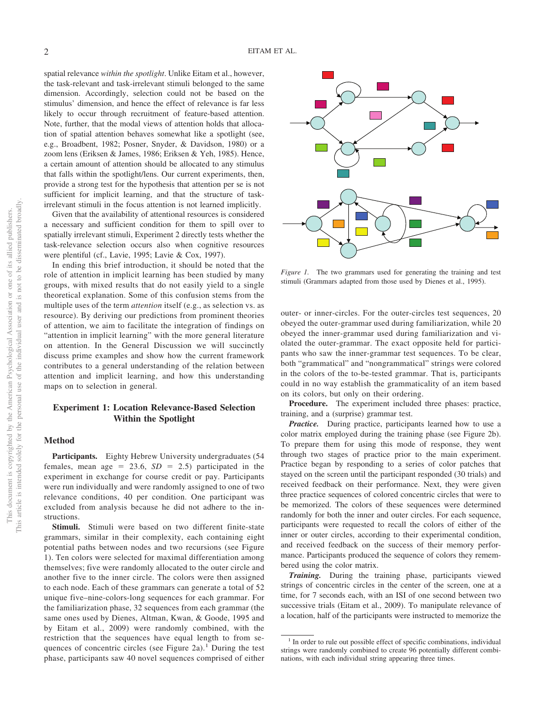spatial relevance *within the spotlight*. Unlike Eitam et al., however, the task-relevant and task-irrelevant stimuli belonged to the same dimension. Accordingly, selection could not be based on the stimulus' dimension, and hence the effect of relevance is far less likely to occur through recruitment of feature-based attention. Note, further, that the modal views of attention holds that allocation of spatial attention behaves somewhat like a spotlight (see, e.g., Broadbent, 1982; Posner, Snyder, & Davidson, 1980) or a zoom lens (Eriksen & James, 1986; Eriksen & Yeh, 1985). Hence, a certain amount of attention should be allocated to any stimulus that falls within the spotlight/lens. Our current experiments, then, provide a strong test for the hypothesis that attention per se is not sufficient for implicit learning, and that the structure of taskirrelevant stimuli in the focus attention is not learned implicitly.

Given that the availability of attentional resources is considered a necessary and sufficient condition for them to spill over to spatially irrelevant stimuli, Experiment 2 directly tests whether the task-relevance selection occurs also when cognitive resources were plentiful (cf., Lavie, 1995; Lavie & Cox, 1997).

In ending this brief introduction, it should be noted that the role of attention in implicit learning has been studied by many groups, with mixed results that do not easily yield to a single theoretical explanation. Some of this confusion stems from the multiple uses of the term *attention* itself (e.g., as selection vs. as resource). By deriving our predictions from prominent theories of attention, we aim to facilitate the integration of findings on "attention in implicit learning" with the more general literature on attention. In the General Discussion we will succinctly discuss prime examples and show how the current framework contributes to a general understanding of the relation between attention and implicit learning, and how this understanding maps on to selection in general.

#### **Experiment 1: Location Relevance-Based Selection Within the Spotlight**

#### **Method**

**Participants.** Eighty Hebrew University undergraduates (54 females, mean age  $= 23.6$ ,  $SD = 2.5$ ) participated in the experiment in exchange for course credit or pay. Participants were run individually and were randomly assigned to one of two relevance conditions, 40 per condition. One participant was excluded from analysis because he did not adhere to the instructions.

**Stimuli.** Stimuli were based on two different finite-state grammars, similar in their complexity, each containing eight potential paths between nodes and two recursions (see Figure 1). Ten colors were selected for maximal differentiation among themselves; five were randomly allocated to the outer circle and another five to the inner circle. The colors were then assigned to each node. Each of these grammars can generate a total of 52 unique five–nine-colors-long sequences for each grammar. For the familiarization phase, 32 sequences from each grammar (the same ones used by Dienes, Altman, Kwan, & Goode, 1995 and by Eitam et al., 2009) were randomly combined, with the restriction that the sequences have equal length to from sequences of concentric circles (see Figure 2a).<sup>1</sup> During the test phase, participants saw 40 novel sequences comprised of either



*Figure 1.* The two grammars used for generating the training and test stimuli (Grammars adapted from those used by Dienes et al., 1995).

outer- or inner-circles. For the outer-circles test sequences, 20 obeyed the outer-grammar used during familiarization, while 20 obeyed the inner-grammar used during familiarization and violated the outer-grammar. The exact opposite held for participants who saw the inner-grammar test sequences. To be clear, both "grammatical" and "nongrammatical" strings were colored in the colors of the to-be-tested grammar. That is, participants could in no way establish the grammaticality of an item based on its colors, but only on their ordering.

**Procedure.** The experiment included three phases: practice, training, and a (surprise) grammar test.

*Practice.* During practice, participants learned how to use a color matrix employed during the training phase (see Figure 2b). To prepare them for using this mode of response, they went through two stages of practice prior to the main experiment. Practice began by responding to a series of color patches that stayed on the screen until the participant responded (30 trials) and received feedback on their performance. Next, they were given three practice sequences of colored concentric circles that were to be memorized. The colors of these sequences were determined randomly for both the inner and outer circles. For each sequence, participants were requested to recall the colors of either of the inner or outer circles, according to their experimental condition, and received feedback on the success of their memory performance. Participants produced the sequence of colors they remembered using the color matrix.

*Training.* During the training phase, participants viewed strings of concentric circles in the center of the screen, one at a time, for 7 seconds each, with an ISI of one second between two successive trials (Eitam et al., 2009). To manipulate relevance of a location, half of the participants were instructed to memorize the

<sup>&</sup>lt;sup>1</sup> In order to rule out possible effect of specific combinations, individual strings were randomly combined to create 96 potentially different combinations, with each individual string appearing three times.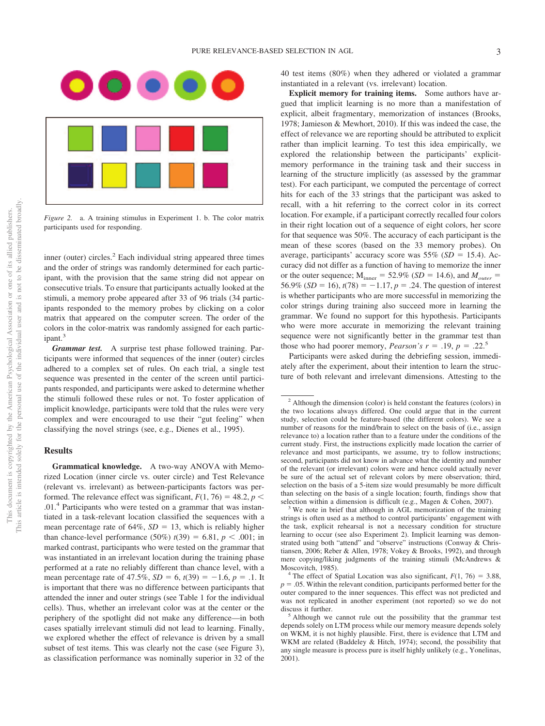

*Figure 2.* a. A training stimulus in Experiment 1. b. The color matrix participants used for responding.

inner (outer) circles.<sup>2</sup> Each individual string appeared three times and the order of strings was randomly determined for each participant, with the provision that the same string did not appear on consecutive trials. To ensure that participants actually looked at the stimuli, a memory probe appeared after 33 of 96 trials (34 participants responded to the memory probes by clicking on a color matrix that appeared on the computer screen. The order of the colors in the color-matrix was randomly assigned for each participant.<sup>3</sup>

*Grammar test.* A surprise test phase followed training. Participants were informed that sequences of the inner (outer) circles adhered to a complex set of rules. On each trial, a single test sequence was presented in the center of the screen until participants responded, and participants were asked to determine whether the stimuli followed these rules or not. To foster application of implicit knowledge, participants were told that the rules were very complex and were encouraged to use their "gut feeling" when classifying the novel strings (see, e.g., Dienes et al., 1995).

#### **Results**

**Grammatical knowledge.** A two-way ANOVA with Memorized Location (inner circle vs. outer circle) and Test Relevance (relevant vs. irrelevant) as between-participants factors was performed. The relevance effect was significant,  $F(1, 76) = 48.2$ ,  $p <$ .01.4 Participants who were tested on a grammar that was instantiated in a task-relevant location classified the sequences with a mean percentage rate of  $64\%$ ,  $SD = 13$ , which is reliably higher than chance-level performance  $(50\%) t(39) = 6.81, p < .001$ ; in marked contrast, participants who were tested on the grammar that was instantiated in an irrelevant location during the training phase performed at a rate no reliably different than chance level, with a mean percentage rate of 47.5%,  $SD = 6$ ,  $t(39) = -1.6$ ,  $p = .1$ . It is important that there was no difference between participants that attended the inner and outer strings (see Table 1 for the individual cells). Thus, whether an irrelevant color was at the center or the periphery of the spotlight did not make any difference—in both cases spatially irrelevant stimuli did not lead to learning. Finally, we explored whether the effect of relevance is driven by a small subset of test items. This was clearly not the case (see Figure 3), as classification performance was nominally superior in 32 of the

40 test items (80%) when they adhered or violated a grammar instantiated in a relevant (vs. irrelevant) location.

**Explicit memory for training items.** Some authors have argued that implicit learning is no more than a manifestation of explicit, albeit fragmentary, memorization of instances (Brooks, 1978; Jamieson & Mewhort, 2010). If this was indeed the case, the effect of relevance we are reporting should be attributed to explicit rather than implicit learning. To test this idea empirically, we explored the relationship between the participants' explicitmemory performance in the training task and their success in learning of the structure implicitly (as assessed by the grammar test). For each participant, we computed the percentage of correct hits for each of the 33 strings that the participant was asked to recall, with a hit referring to the correct color in its correct location. For example, if a participant correctly recalled four colors in their right location out of a sequence of eight colors, her score for that sequence was 50%. The accuracy of each participant is the mean of these scores (based on the 33 memory probes). On average, participants' accuracy score was  $55\%$  ( $SD = 15.4$ ). Accuracy did not differ as a function of having to memorize the inner or the outer sequence;  $M_{\text{inner}} = 52.9\%$  (*SD* = 14.6), and  $M_{\text{outer}} =$ 56.9% (*SD* = 16),  $t(78) = -1.17$ ,  $p = .24$ . The question of interest is whether participants who are more successful in memorizing the color strings during training also succeed more in learning the grammar. We found no support for this hypothesis. Participants who were more accurate in memorizing the relevant training sequence were not significantly better in the grammar test than those who had poorer memory, *Pearson's*  $r = .19$ ,  $p = .22$ <sup>5</sup>

Participants were asked during the debriefing session, immediately after the experiment, about their intention to learn the structure of both relevant and irrelevant dimensions. Attesting to the

<sup>2</sup> Although the dimension (color) is held constant the features (colors) in the two locations always differed. One could argue that in the current study, selection could be feature-based (the different colors). We see a number of reasons for the mind/brain to select on the basis of (i.e., assign relevance to) a location rather than to a feature under the conditions of the current study. First, the instructions explicitly made location the carrier of relevance and most participants, we assume, try to follow instructions; second, participants did not know in advance what the identity and number of the relevant (or irrelevant) colors were and hence could actually never be sure of the actual set of relevant colors by mere observation; third, selection on the basis of a 5-item size would presumably be more difficult than selecting on the basis of a single location; fourth, findings show that selection within a dimension is difficult (e.g., Magen & Cohen, 2007). <sup>3</sup> We note in brief that although in AGL memorization of the training

strings is often used as a method to control participants' engagement with the task, explicit rehearsal is not a necessary condition for structure learning to occur (see also Experiment 2). Implicit learning was demonstrated using both "attend" and "observe" instructions (Conway & Christiansen, 2006; Reber & Allen, 1978; Vokey & Brooks, 1992), and through mere copying/liking judgments of the training stimuli (McAndrews & Moscovitch, 1985). <sup>4</sup> The effect of Spatial Location was also significant,  $F(1, 76) = 3.88$ ,

 $p = 0.05$ . Within the relevant condition, participants performed better for the outer compared to the inner sequences. This effect was not predicted and was not replicated in another experiment (not reported) so we do not discuss it further.<br><sup>5</sup> Although we cannot rule out the possibility that the grammar test

depends solely on LTM process while our memory measure depends solely on WKM, it is not highly plausible. First, there is evidence that LTM and WKM are related (Baddeley & Hitch, 1974); second, the possibility that any single measure is process pure is itself highly unlikely (e.g., Yonelinas, 2001).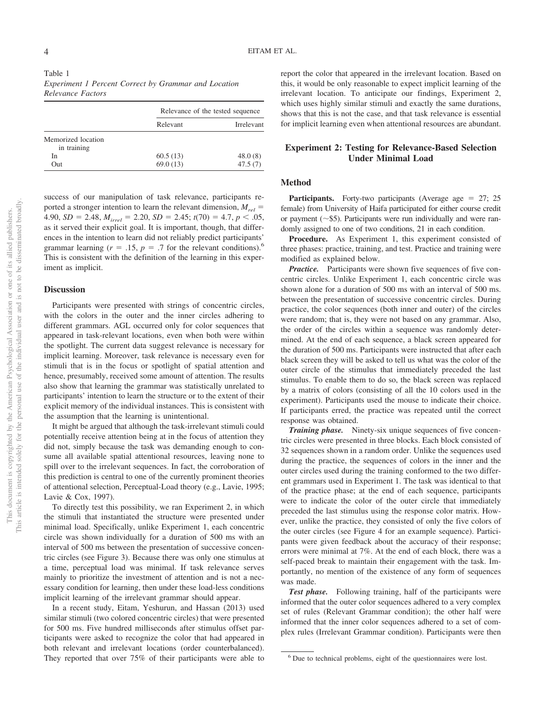| Relevance of the tested sequence |                   |
|----------------------------------|-------------------|
| Relevant                         | <b>Irrelevant</b> |
|                                  |                   |
|                                  |                   |
| 60.5(13)                         | 48.0(8)           |
| 69.0(13)                         | 47.5(7)           |
|                                  |                   |

success of our manipulation of task relevance, participants reported a stronger intention to learn the relevant dimension,  $M_{rel}$  = 4.90,  $SD = 2.48$ ,  $M_{irrel} = 2.20$ ,  $SD = 2.45$ ;  $t(70) = 4.7$ ,  $p < .05$ , as it served their explicit goal. It is important, though, that differences in the intention to learn did not reliably predict participants' grammar learning ( $r = .15$ ,  $p = .7$  for the relevant conditions).<sup>6</sup> This is consistent with the definition of the learning in this experiment as implicit.

#### **Discussion**

Participants were presented with strings of concentric circles, with the colors in the outer and the inner circles adhering to different grammars. AGL occurred only for color sequences that appeared in task-relevant locations, even when both were within the spotlight. The current data suggest relevance is necessary for implicit learning. Moreover, task relevance is necessary even for stimuli that is in the focus or spotlight of spatial attention and hence, presumably, received some amount of attention. The results also show that learning the grammar was statistically unrelated to participants' intention to learn the structure or to the extent of their explicit memory of the individual instances. This is consistent with the assumption that the learning is unintentional.

It might be argued that although the task-irrelevant stimuli could potentially receive attention being at in the focus of attention they did not, simply because the task was demanding enough to consume all available spatial attentional resources, leaving none to spill over to the irrelevant sequences. In fact, the corroboration of this prediction is central to one of the currently prominent theories of attentional selection, Perceptual-Load theory (e.g., Lavie, 1995; Lavie & Cox, 1997).

To directly test this possibility, we ran Experiment 2, in which the stimuli that instantiated the structure were presented under minimal load. Specifically, unlike Experiment 1, each concentric circle was shown individually for a duration of 500 ms with an interval of 500 ms between the presentation of successive concentric circles (see Figure 3). Because there was only one stimulus at a time, perceptual load was minimal. If task relevance serves mainly to prioritize the investment of attention and is not a necessary condition for learning, then under these load-less conditions implicit learning of the irrelevant grammar should appear.

In a recent study, Eitam, Yeshurun, and Hassan (2013) used similar stimuli (two colored concentric circles) that were presented for 500 ms. Five hundred milliseconds after stimulus offset participants were asked to recognize the color that had appeared in both relevant and irrelevant locations (order counterbalanced). They reported that over 75% of their participants were able to

report the color that appeared in the irrelevant location. Based on this, it would be only reasonable to expect implicit learning of the irrelevant location. To anticipate our findings, Experiment 2, which uses highly similar stimuli and exactly the same durations, shows that this is not the case, and that task relevance is essential for implicit learning even when attentional resources are abundant.

#### **Experiment 2: Testing for Relevance-Based Selection Under Minimal Load**

#### **Method**

**Participants.** Forty-two participants (Average age  $= 27$ ; 25 female) from University of Haifa participated for either course credit or payment  $({\sim}$ \$5). Participants were run individually and were randomly assigned to one of two conditions, 21 in each condition.

Procedure. As Experiment 1, this experiment consisted of three phases: practice, training, and test. Practice and training were modified as explained below.

*Practice.* Participants were shown five sequences of five concentric circles. Unlike Experiment 1, each concentric circle was shown alone for a duration of 500 ms with an interval of 500 ms. between the presentation of successive concentric circles. During practice, the color sequences (both inner and outer) of the circles were random; that is, they were not based on any grammar. Also, the order of the circles within a sequence was randomly determined. At the end of each sequence, a black screen appeared for the duration of 500 ms. Participants were instructed that after each black screen they will be asked to tell us what was the color of the outer circle of the stimulus that immediately preceded the last stimulus. To enable them to do so, the black screen was replaced by a matrix of colors (consisting of all the 10 colors used in the experiment). Participants used the mouse to indicate their choice. If participants erred, the practice was repeated until the correct response was obtained.

*Training phase.* Ninety-six unique sequences of five concentric circles were presented in three blocks. Each block consisted of 32 sequences shown in a random order. Unlike the sequences used during the practice, the sequences of colors in the inner and the outer circles used during the training conformed to the two different grammars used in Experiment 1. The task was identical to that of the practice phase; at the end of each sequence, participants were to indicate the color of the outer circle that immediately preceded the last stimulus using the response color matrix. However, unlike the practice, they consisted of only the five colors of the outer circles (see Figure 4 for an example sequence). Participants were given feedback about the accuracy of their response; errors were minimal at 7%. At the end of each block, there was a self-paced break to maintain their engagement with the task. Importantly, no mention of the existence of any form of sequences was made.

*Test phase.* Following training, half of the participants were informed that the outer color sequences adhered to a very complex set of rules (Relevant Grammar condition); the other half were informed that the inner color sequences adhered to a set of complex rules (Irrelevant Grammar condition). Participants were then

<sup>6</sup> Due to technical problems, eight of the questionnaires were lost.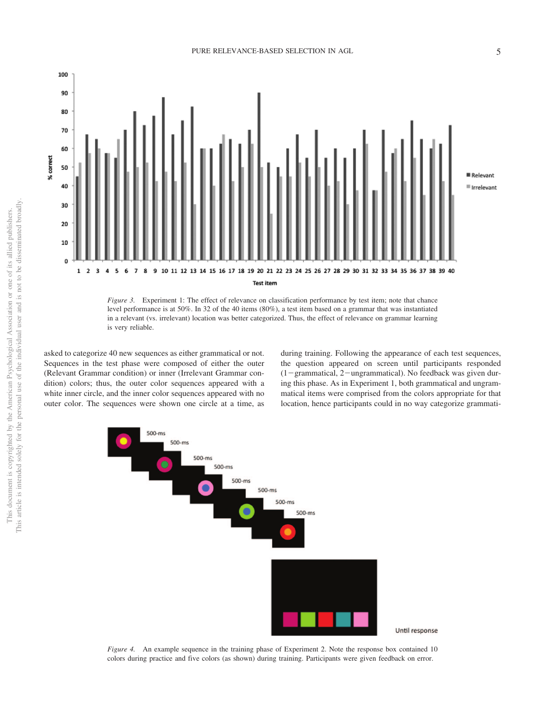

*Figure 3.* Experiment 1: The effect of relevance on classification performance by test item; note that chance level performance is at 50%. In 32 of the 40 items (80%), a test item based on a grammar that was instantiated in a relevant (vs. irrelevant) location was better categorized. Thus, the effect of relevance on grammar learning is very reliable.

asked to categorize 40 new sequences as either grammatical or not. Sequences in the test phase were composed of either the outer (Relevant Grammar condition) or inner (Irrelevant Grammar condition) colors; thus, the outer color sequences appeared with a white inner circle, and the inner color sequences appeared with no outer color. The sequences were shown one circle at a time, as during training. Following the appearance of each test sequences, the question appeared on screen until participants responded  $(1-grammatical, 2-ungrammatical)$ . No feedback was given during this phase. As in Experiment 1, both grammatical and ungrammatical items were comprised from the colors appropriate for that location, hence participants could in no way categorize grammati-



Until response

*Figure 4.* An example sequence in the training phase of Experiment 2. Note the response box contained 10 colors during practice and five colors (as shown) during training. Participants were given feedback on error.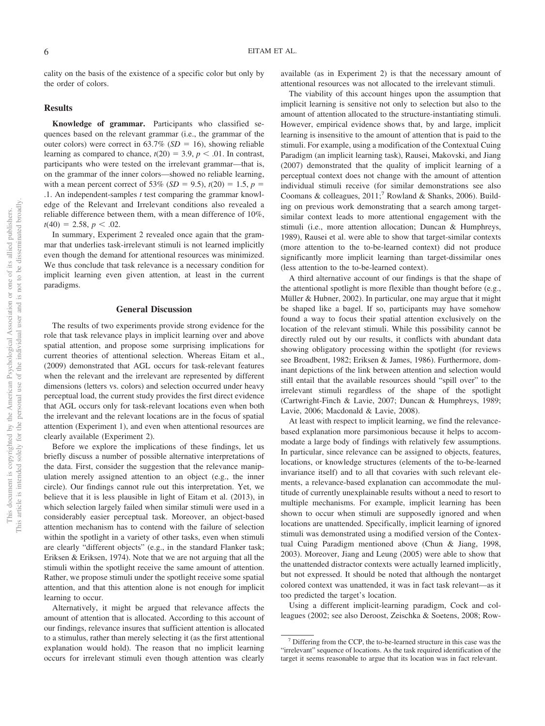cality on the basis of the existence of a specific color but only by the order of colors.

#### **Results**

**Knowledge of grammar.** Participants who classified sequences based on the relevant grammar (i.e., the grammar of the outer colors) were correct in  $63.7\%$  (*SD* = 16), showing reliable learning as compared to chance,  $t(20) = 3.9$ ,  $p < .01$ . In contrast, participants who were tested on the irrelevant grammar—that is, on the grammar of the inner colors—showed no reliable learning, with a mean percent correct of 53% (*SD* = 9.5),  $t(20) = 1.5$ ,  $p =$ .1. An independent-samples *t* test comparing the grammar knowledge of the Relevant and Irrelevant conditions also revealed a reliable difference between them, with a mean difference of 10%,  $t(40) = 2.58, p < .02.$ 

In summary, Experiment 2 revealed once again that the grammar that underlies task-irrelevant stimuli is not learned implicitly even though the demand for attentional resources was minimized. We thus conclude that task relevance is a necessary condition for implicit learning even given attention, at least in the current paradigms.

#### **General Discussion**

The results of two experiments provide strong evidence for the role that task relevance plays in implicit learning over and above spatial attention, and propose some surprising implications for current theories of attentional selection. Whereas Eitam et al., (2009) demonstrated that AGL occurs for task-relevant features when the relevant and the irrelevant are represented by different dimensions (letters vs. colors) and selection occurred under heavy perceptual load, the current study provides the first direct evidence that AGL occurs only for task-relevant locations even when both the irrelevant and the relevant locations are in the focus of spatial attention (Experiment 1), and even when attentional resources are clearly available (Experiment 2).

Before we explore the implications of these findings, let us briefly discuss a number of possible alternative interpretations of the data. First, consider the suggestion that the relevance manipulation merely assigned attention to an object (e.g., the inner circle). Our findings cannot rule out this interpretation. Yet, we believe that it is less plausible in light of Eitam et al. (2013), in which selection largely failed when similar stimuli were used in a considerably easier perceptual task. Moreover, an object-based attention mechanism has to contend with the failure of selection within the spotlight in a variety of other tasks, even when stimuli are clearly "different objects" (e.g., in the standard Flanker task; Eriksen & Eriksen, 1974). Note that we are not arguing that all the stimuli within the spotlight receive the same amount of attention. Rather, we propose stimuli under the spotlight receive some spatial attention, and that this attention alone is not enough for implicit learning to occur.

Alternatively, it might be argued that relevance affects the amount of attention that is allocated. According to this account of our findings, relevance insures that sufficient attention is allocated to a stimulus, rather than merely selecting it (as the first attentional explanation would hold). The reason that no implicit learning occurs for irrelevant stimuli even though attention was clearly

available (as in Experiment 2) is that the necessary amount of attentional resources was not allocated to the irrelevant stimuli.

The viability of this account hinges upon the assumption that implicit learning is sensitive not only to selection but also to the amount of attention allocated to the structure-instantiating stimuli. However, empirical evidence shows that, by and large, implicit learning is insensitive to the amount of attention that is paid to the stimuli. For example, using a modification of the Contextual Cuing Paradigm (an implicit learning task), Rausei, Makovski, and Jiang (2007) demonstrated that the quality of implicit learning of a perceptual context does not change with the amount of attention individual stimuli receive (for similar demonstrations see also Coomans & colleagues,  $2011$ ;<sup>7</sup> Rowland & Shanks, 2006). Building on previous work demonstrating that a search among targetsimilar context leads to more attentional engagement with the stimuli (i.e., more attention allocation; Duncan & Humphreys, 1989), Rausei et al. were able to show that target-similar contexts (more attention to the to-be-learned context) did not produce significantly more implicit learning than target-dissimilar ones (less attention to the to-be-learned context).

A third alternative account of our findings is that the shape of the attentional spotlight is more flexible than thought before (e.g., Müller & Hubner, 2002). In particular, one may argue that it might be shaped like a bagel. If so, participants may have somehow found a way to focus their spatial attention exclusively on the location of the relevant stimuli. While this possibility cannot be directly ruled out by our results, it conflicts with abundant data showing obligatory processing within the spotlight (for reviews see Broadbent, 1982; Eriksen & James, 1986). Furthermore, dominant depictions of the link between attention and selection would still entail that the available resources should "spill over" to the irrelevant stimuli regardless of the shape of the spotlight (Cartwright-Finch & Lavie, 2007; Duncan & Humphreys, 1989; Lavie, 2006; Macdonald & Lavie, 2008).

At least with respect to implicit learning, we find the relevancebased explanation more parsimonious because it helps to accommodate a large body of findings with relatively few assumptions. In particular, since relevance can be assigned to objects, features, locations, or knowledge structures (elements of the to-be-learned invariance itself) and to all that covaries with such relevant elements, a relevance-based explanation can accommodate the multitude of currently unexplainable results without a need to resort to multiple mechanisms. For example, implicit learning has been shown to occur when stimuli are supposedly ignored and when locations are unattended. Specifically, implicit learning of ignored stimuli was demonstrated using a modified version of the Contextual Cuing Paradigm mentioned above (Chun & Jiang, 1998, 2003). Moreover, Jiang and Leung (2005) were able to show that the unattended distractor contexts were actually learned implicitly, but not expressed. It should be noted that although the nontarget colored context was unattended, it was in fact task relevant—as it too predicted the target's location.

Using a different implicit-learning paradigm, Cock and colleagues (2002; see also Deroost, Zeischka & Soetens, 2008; Row-

 $<sup>7</sup>$  Differing from the CCP, the to-be-learned structure in this case was the</sup> "irrelevant" sequence of locations. As the task required identification of the target it seems reasonable to argue that its location was in fact relevant.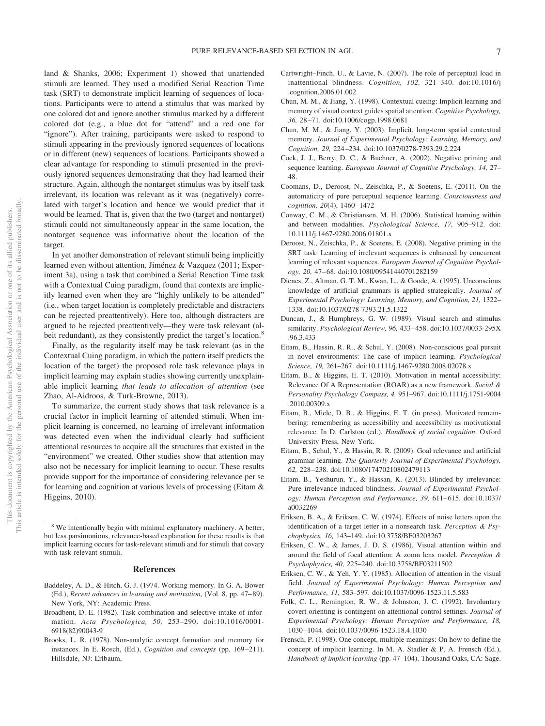land & Shanks, 2006; Experiment 1) showed that unattended stimuli are learned. They used a modified Serial Reaction Time task (SRT) to demonstrate implicit learning of sequences of locations. Participants were to attend a stimulus that was marked by one colored dot and ignore another stimulus marked by a different colored dot (e.g., a blue dot for "attend" and a red one for "ignore"). After training, participants were asked to respond to stimuli appearing in the previously ignored sequences of locations or in different (new) sequences of locations. Participants showed a clear advantage for responding to stimuli presented in the previously ignored sequences demonstrating that they had learned their structure. Again, although the nontarget stimulus was by itself task irrelevant, its location was relevant as it was (negatively) correlated with target's location and hence we would predict that it would be learned. That is, given that the two (target and nontarget) stimuli could not simultaneously appear in the same location, the nontarget sequence was informative about the location of the target.

In yet another demonstration of relevant stimuli being implicitly learned even without attention, Jiménez & Vazquez (2011; Experiment 3a), using a task that combined a Serial Reaction Time task with a Contextual Cuing paradigm, found that contexts are implicitly learned even when they are "highly unlikely to be attended" (i.e., when target location is completely predictable and distracters can be rejected preattentively). Here too, although distracters are argued to be rejected preattentively—they were task relevant (albeit redundant), as they consistently predict the target's location.<sup>8</sup>

Finally, as the regularity itself may be task relevant (as in the Contextual Cuing paradigm, in which the pattern itself predicts the location of the target) the proposed role task relevance plays in implicit learning may explain studies showing currently unexplainable implicit learning *that leads to allocation of attention* (see Zhao, Al-Aidroos, & Turk-Browne, 2013).

To summarize, the current study shows that task relevance is a crucial factor in implicit learning of attended stimuli. When implicit learning is concerned, no learning of irrelevant information was detected even when the individual clearly had sufficient attentional resources to acquire all the structures that existed in the "environment" we created. Other studies show that attention may also not be necessary for implicit learning to occur. These results provide support for the importance of considering relevance per se for learning and cognition at various levels of processing (Eitam & Higgins, 2010).

#### **References**

- Baddeley, A. D., & Hitch, G. J. (1974. Working memory. In G. A. Bower (Ed.), *Recent advances in learning and motivation,* (Vol. 8, pp. 47– 89). New York, NY: Academic Press.
- Broadbent, D. E. (1982). Task combination and selective intake of information. *Acta Psychologica, 50,* 253–290. doi:10.1016/0001- 6918(82)90043-9
- Brooks, L. R. (1978). Non-analytic concept formation and memory for instances. In E. Rosch, (Ed.), *Cognition and concepts* (pp. 169-211). Hillsdale, NJ: Erlbaum,
- Cartwright–Finch, U., & Lavie, N. (2007). The role of perceptual load in inattentional blindness. *Cognition, 102,* 321–340. doi:10.1016/j .cognition.2006.01.002
- Chun, M. M., & Jiang, Y. (1998). Contextual cueing: Implicit learning and memory of visual context guides spatial attention. *Cognitive Psychology, 36,* 28 –71. doi:10.1006/cogp.1998.0681
- Chun, M. M., & Jiang, Y. (2003). Implicit, long-term spatial contextual memory. *Journal of Experimental Psychology: Learning, Memory, and Cognition, 29,* 224 –234. doi:10.1037/0278-7393.29.2.224
- Cock, J. J., Berry, D. C., & Buchner, A. (2002). Negative priming and sequence learning. *European Journal of Cognitive Psychology, 14,* 27– 48.
- Coomans, D., Deroost, N., Zeischka, P., & Soetens, E. (2011). On the automaticity of pure perceptual sequence learning. *Consciousness and cognition, 20*(4), 1460 –1472
- Conway, C. M., & Christiansen, M. H. (2006). Statistical learning within and between modalities. *Psychological Science, 17,* 905–912. doi: 10.1111/j.1467-9280.2006.01801.x
- Deroost, N., Zeischka, P., & Soetens, E. (2008). Negative priming in the SRT task: Learning of irrelevant sequences is enhanced by concurrent learning of relevant sequences. *European Journal of Cognitive Psychology, 20,* 47– 68. doi:10.1080/09541440701282159
- Dienes, Z., Altman, G. T. M., Kwan, L., & Goode, A. (1995). Unconscious knowledge of artificial grammars is applied strategically. *Journal of Experimental Psychology: Learning, Memory, and Cognition, 21,* 1322– 1338. doi:10.1037/0278-7393.21.5.1322
- Duncan, J., & Humphreys, G. W. (1989). Visual search and stimulus similarity. *Psychological Review, 96,* 433– 458. doi:10.1037/0033-295X .96.3.433
- Eitam, B., Hassin, R. R., & Schul, Y. (2008). Non-conscious goal pursuit in novel environments: The case of implicit learning. *Psychological Science, 19,* 261–267. doi:10.1111/j.1467-9280.2008.02078.x
- Eitam, B., & Higgins, E. T. (2010). Motivation in mental accessibility: Relevance Of A Representation (ROAR) as a new framework. *Social & Personality Psychology Compass, 4,* 951–967. doi:10.1111/j.1751-9004 .2010.00309.x
- Eitam, B., Miele, D. B., & Higgins, E. T. (in press). Motivated remembering: remembering as accessibility and accessibility as motivational relevance. In D. Carlston (ed.), *Handbook of social cognition*. Oxford University Press, New York.
- Eitam, B., Schul, Y., & Hassin, R. R. (2009). Goal relevance and artificial grammar learning. *The Quarterly Journal of Experimental Psychology, 62,* 228 –238. doi:10.1080/17470210802479113
- Eitam, B., Yeshurun, Y., & Hassan, K. (2013). Blinded by irrelevance: Pure irrelevance induced blindness. *Journal of Experimental Psychology: Human Perception and Performance, 39,* 611– 615. doi:10.1037/ a0032269
- Eriksen, B. A., & Eriksen, C. W. (1974). Effects of noise letters upon the identification of a target letter in a nonsearch task. *Perception & Psychophysics, 16,* 143–149. doi:10.3758/BF03203267
- Eriksen, C. W., & James, J. D. S. (1986). Visual attention within and around the field of focal attention: A zoom lens model. *Perception & Psychophysics, 40,* 225–240. doi:10.3758/BF03211502
- Eriksen, C. W., & Yeh, Y. Y. (1985). Allocation of attention in the visual field. *Journal of Experimental Psychology: Human Perception and Performance, 11,* 583–597. doi:10.1037/0096-1523.11.5.583
- Folk, C. L., Remington, R. W., & Johnston, J. C. (1992). Involuntary covert orienting is contingent on attentional control settings. *Journal of Experimental Psychology: Human Perception and Performance, 18,* 1030 –1044. doi:10.1037/0096-1523.18.4.1030
- Frensch, P. (1998). One concept, multiple meanings: On how to define the concept of implicit learning. In M. A. Stadler & P. A. Frensch (Ed.), *Handbook of implicit learning* (pp. 47–104). Thousand Oaks, CA: Sage.

We intentionally begin with minimal explanatory machinery. A better, but less parsimonious, relevance-based explanation for these results is that implicit learning occurs for task-relevant stimuli and for stimuli that covary with task-relevant stimuli.